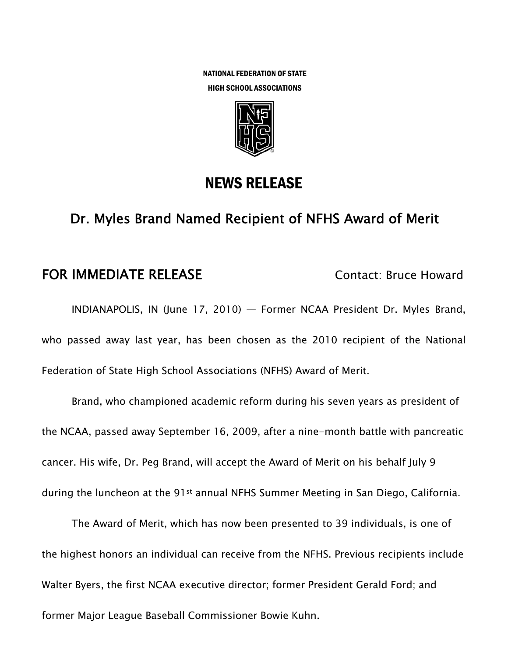NATIONAL FEDERATION OF STATE HIGH SCHOOL ASSOCIATIONS



# NEWS RELEASE

# Dr. Myles Brand Named Recipient of NFHS Award of Merit

## FOR IMMEDIATE RELEASE Contact: Bruce Howard

INDIANAPOLIS, IN (June 17, 2010) — Former NCAA President Dr. Myles Brand, who passed away last year, has been chosen as the 2010 recipient of the National Federation of State High School Associations (NFHS) Award of Merit.

Brand, who championed academic reform during his seven years as president of the NCAA, passed away September 16, 2009, after a nine-month battle with pancreatic cancer. His wife, Dr. Peg Brand, will accept the Award of Merit on his behalf July 9 during the luncheon at the 91st annual NFHS Summer Meeting in San Diego, California.

The Award of Merit, which has now been presented to 39 individuals, is one of the highest honors an individual can receive from the NFHS. Previous recipients include Walter Byers, the first NCAA executive director; former President Gerald Ford; and former Major League Baseball Commissioner Bowie Kuhn.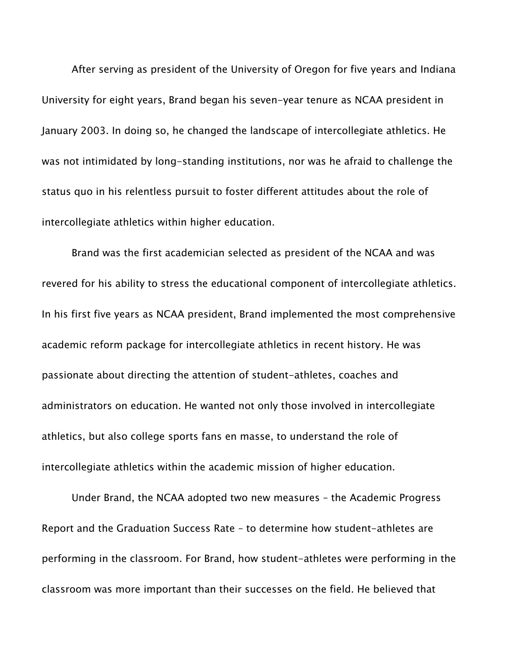After serving as president of the University of Oregon for five years and Indiana University for eight years, Brand began his seven-year tenure as NCAA president in January 2003. In doing so, he changed the landscape of intercollegiate athletics. He was not intimidated by long-standing institutions, nor was he afraid to challenge the status quo in his relentless pursuit to foster different attitudes about the role of intercollegiate athletics within higher education.

Brand was the first academician selected as president of the NCAA and was revered for his ability to stress the educational component of intercollegiate athletics. In his first five years as NCAA president, Brand implemented the most comprehensive academic reform package for intercollegiate athletics in recent history. He was passionate about directing the attention of student-athletes, coaches and administrators on education. He wanted not only those involved in intercollegiate athletics, but also college sports fans en masse, to understand the role of intercollegiate athletics within the academic mission of higher education.

Under Brand, the NCAA adopted two new measures – the Academic Progress Report and the Graduation Success Rate – to determine how student-athletes are performing in the classroom. For Brand, how student-athletes were performing in the classroom was more important than their successes on the field. He believed that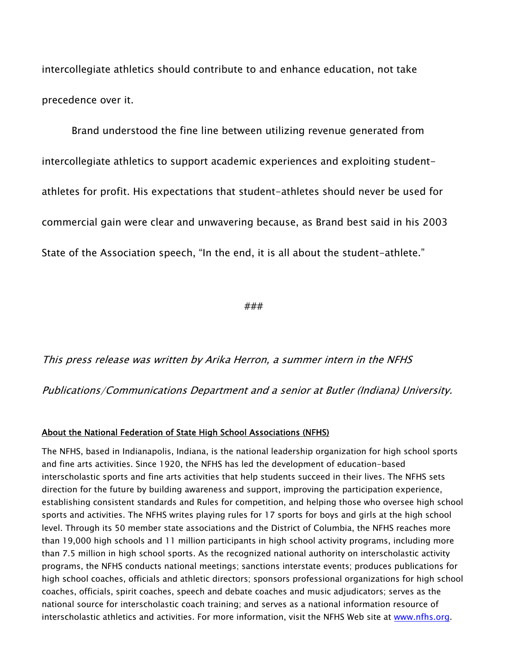intercollegiate athletics should contribute to and enhance education, not take precedence over it.

Brand understood the fine line between utilizing revenue generated from intercollegiate athletics to support academic experiences and exploiting studentathletes for profit. His expectations that student-athletes should never be used for commercial gain were clear and unwavering because, as Brand best said in his 2003 State of the Association speech, "In the end, it is all about the student-athlete."

###

This press release was written by Arika Herron, a summer intern in the NFHS

Publications/Communications Department and a senior at Butler (Indiana) University.

#### About the National Federation of State High School Associations (NFHS)

The NFHS, based in Indianapolis, Indiana, is the national leadership organization for high school sports and fine arts activities. Since 1920, the NFHS has led the development of education-based interscholastic sports and fine arts activities that help students succeed in their lives. The NFHS sets direction for the future by building awareness and support, improving the participation experience, establishing consistent standards and Rules for competition, and helping those who oversee high school sports and activities. The NFHS writes playing rules for 17 sports for boys and girls at the high school level. Through its 50 member state associations and the District of Columbia, the NFHS reaches more than 19,000 high schools and 11 million participants in high school activity programs, including more than 7.5 million in high school sports. As the recognized national authority on interscholastic activity programs, the NFHS conducts national meetings; sanctions interstate events; produces publications for high school coaches, officials and athletic directors; sponsors professional organizations for high school coaches, officials, spirit coaches, speech and debate coaches and music adjudicators; serves as the national source for interscholastic coach training; and serves as a national information resource of interscholastic athletics and activities. For more information, visit the NFHS Web site at www.nfhs.org.